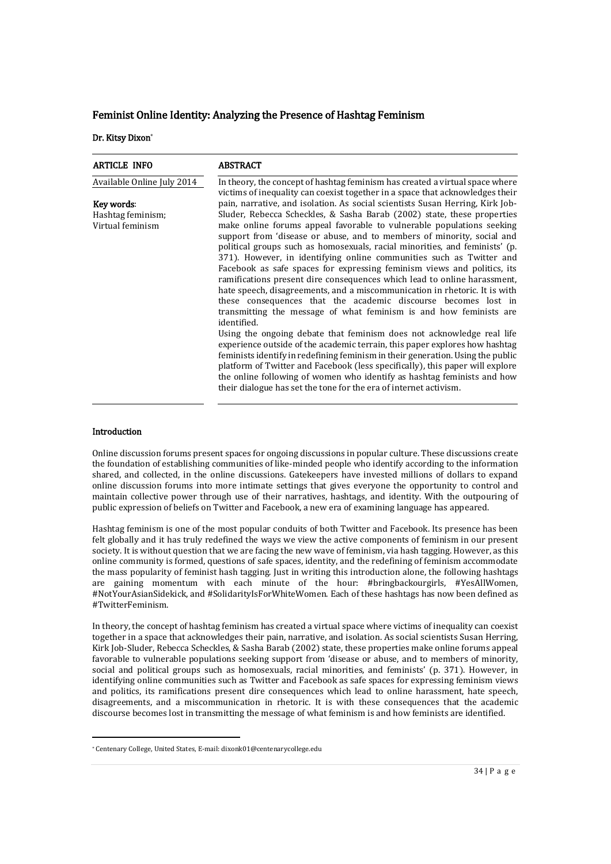# Feminist Online Identity: Analyzing the Presence of Hashtag Feminism

Dr. Kitsy Dixon\*

| <b>ARTICLE INFO</b>        | <b>ABSTRACT</b>                                                                                                                                                                                                                                                                                                                                                                                                                                                                                                                                                                                                                                                                                                                                                                                                                                                                                                                                                                                                                                                                                                                                                                |
|----------------------------|--------------------------------------------------------------------------------------------------------------------------------------------------------------------------------------------------------------------------------------------------------------------------------------------------------------------------------------------------------------------------------------------------------------------------------------------------------------------------------------------------------------------------------------------------------------------------------------------------------------------------------------------------------------------------------------------------------------------------------------------------------------------------------------------------------------------------------------------------------------------------------------------------------------------------------------------------------------------------------------------------------------------------------------------------------------------------------------------------------------------------------------------------------------------------------|
| Available Online July 2014 | In theory, the concept of hashtag feminism has created a virtual space where<br>victims of inequality can coexist together in a space that acknowledges their                                                                                                                                                                                                                                                                                                                                                                                                                                                                                                                                                                                                                                                                                                                                                                                                                                                                                                                                                                                                                  |
| Key words:                 | pain, narrative, and isolation. As social scientists Susan Herring, Kirk Job-                                                                                                                                                                                                                                                                                                                                                                                                                                                                                                                                                                                                                                                                                                                                                                                                                                                                                                                                                                                                                                                                                                  |
| Hashtag feminism;          | Sluder, Rebecca Scheckles, & Sasha Barab (2002) state, these properties                                                                                                                                                                                                                                                                                                                                                                                                                                                                                                                                                                                                                                                                                                                                                                                                                                                                                                                                                                                                                                                                                                        |
| Virtual feminism           | make online forums appeal favorable to vulnerable populations seeking<br>support from 'disease or abuse, and to members of minority, social and<br>political groups such as homosexuals, racial minorities, and feminists' (p.<br>371). However, in identifying online communities such as Twitter and<br>Facebook as safe spaces for expressing feminism views and politics, its<br>ramifications present dire consequences which lead to online harassment,<br>hate speech, disagreements, and a miscommunication in rhetoric. It is with<br>these consequences that the academic discourse becomes lost in<br>transmitting the message of what feminism is and how feminists are<br>identified.<br>Using the ongoing debate that feminism does not acknowledge real life<br>experience outside of the academic terrain, this paper explores how hashtag<br>feminists identify in redefining feminism in their generation. Using the public<br>platform of Twitter and Facebook (less specifically), this paper will explore<br>the online following of women who identify as hashtag feminists and how<br>their dialogue has set the tone for the era of internet activism. |

#### Introduction

-

Online discussion forums present spaces for ongoing discussions in popular culture. These discussions create the foundation of establishing communities of like-minded people who identify according to the information shared, and collected, in the online discussions. Gatekeepers have invested millions of dollars to expand online discussion forums into more intimate settings that gives everyone the opportunity to control and maintain collective power through use of their narratives, hashtags, and identity. With the outpouring of public expression of beliefs on Twitter and Facebook, a new era of examining language has appeared.

Hashtag feminism is one of the most popular conduits of both Twitter and Facebook. Its presence has been felt globally and it has truly redefined the ways we view the active components of feminism in our present society. It is without question that we are facing the new wave of feminism, via hash tagging. However, as this online community is formed, questions of safe spaces, identity, and the redefining of feminism accommodate the mass popularity of feminist hash tagging. Just in writing this introduction alone, the following hashtags are gaining momentum with each minute of the hour: #bringbackourgirls, #YesAllWomen, #NotYourAsianSidekick, and #SolidarityIsForWhiteWomen. Each of these hashtags has now been defined as #TwitterFeminism.

In theory, the concept of hashtag feminism has created a virtual space where victims of inequality can coexist together in a space that acknowledges their pain, narrative, and isolation. As social scientists Susan Herring, Kirk Job-Sluder, Rebecca Scheckles, & Sasha Barab (2002) state, these properties make online forums appeal favorable to vulnerable populations seeking support from 'disease or abuse, and to members of minority, social and political groups such as homosexuals, racial minorities, and feminists' (p. 371). However, in identifying online communities such as Twitter and Facebook as safe spaces for expressing feminism views and politics, its ramifications present dire consequences which lead to online harassment, hate speech, disagreements, and a miscommunication in rhetoric. It is with these consequences that the academic discourse becomes lost in transmitting the message of what feminism is and how feminists are identified.

<sup>\*</sup> Centenary College, United States, E-mail: dixonk01@centenarycollege.edu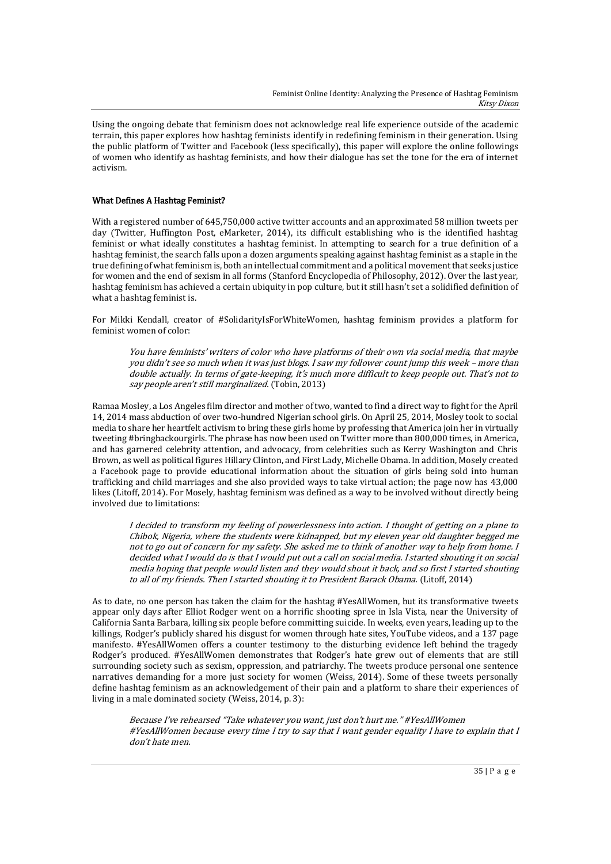Using the ongoing debate that feminism does not acknowledge real life experience outside of the academic terrain, this paper explores how hashtag feminists identify in redefining feminism in their generation. Using the public platform of Twitter and Facebook (less specifically), this paper will explore the online followings of women who identify as hashtag feminists, and how their dialogue has set the tone for the era of internet activism.

## What Defines A Hashtag Feminist?

With a registered number of 645,750,000 active twitter accounts and an approximated 58 million tweets per day (Twitter, Huffington Post, eMarketer, 2014), its difficult establishing who is the identified hashtag feminist or what ideally constitutes a hashtag feminist. In attempting to search for a true definition of a hashtag feminist, the search falls upon a dozen arguments speaking against hashtag feminist as a staple in the true defining of what feminism is, both an intellectual commitment and a political movement that seeks justice for women and the end of sexism in all forms (Stanford Encyclopedia of Philosophy, 2012). Over the last year, hashtag feminism has achieved a certain ubiquity in pop culture, but it still hasn't set a solidified definition of what a hashtag feminist is.

For Mikki Kendall, creator of #SolidarityIsForWhiteWomen, hashtag feminism provides a platform for feminist women of color:

You have feminists' writers of color who have platforms of their own via social media, that maybe you didn't see so much when it was just blogs. I saw my follower count jump this week – more than double actually. In terms of gate-keeping, it's much more difficult to keep people out. That's not to say people aren't still marginalized. (Tobin, 2013)

Ramaa Mosley, a Los Angeles film director and mother of two, wanted to find a direct way to fight for the April 14, 2014 mass abduction of over two-hundred Nigerian school girls. On April 25, 2014, Mosley took to social media to share her heartfelt activism to bring these girls home by professing that America join her in virtually tweeting #bringbackourgirls. The phrase has now been used on Twitter more than 800,000 times, in America, and has garnered celebrity attention, and advocacy, from celebrities such as Kerry Washington and Chris Brown, as well as political figures Hillary Clinton, and First Lady, Michelle Obama. In addition, Mosely created a Facebook page to provide educational information about the situation of girls being sold into human trafficking and child marriages and she also provided ways to take virtual action; the page now has 43,000 likes (Litoff, 2014). For Mosely, hashtag feminism was defined as a way to be involved without directly being involved due to limitations:

I decided to transform my feeling of powerlessness into action. I thought of getting on a plane to Chibok, Nigeria, where the students were kidnapped, but my eleven year old daughter begged me not to go out of concern for my safety. She asked me to think of another way to help from home. I decided what I would do is that I would put out a call on social media. I started shouting it on social media hoping that people would listen and they would shout it back, and so first I started shouting to all of my friends. Then I started shouting it to President Barack Obama. (Litoff, 2014)

As to date, no one person has taken the claim for the hashtag #YesAllWomen, but its transformative tweets appear only days after Elliot Rodger went on a horrific shooting spree in Isla Vista, near the University of California Santa Barbara, killing six people before committing suicide. In weeks, even years, leading up to the killings, Rodger's publicly shared his disgust for women through hate sites, YouTube videos, and a 137 page manifesto. #YesAllWomen offers a counter testimony to the disturbing evidence left behind the tragedy Rodger's produced. #YesAllWomen demonstrates that Rodger's hate grew out of elements that are still surrounding society such as sexism, oppression, and patriarchy. The tweets produce personal one sentence narratives demanding for a more just society for women (Weiss, 2014). Some of these tweets personally define hashtag feminism as an acknowledgement of their pain and a platform to share their experiences of living in a male dominated society (Weiss, 2014, p. 3):

Because I've rehearsed "Take whatever you want, just don't hurt me." #YesAllWomen #YesAllWomen because every time I try to say that I want gender equality I have to explain that I don't hate men.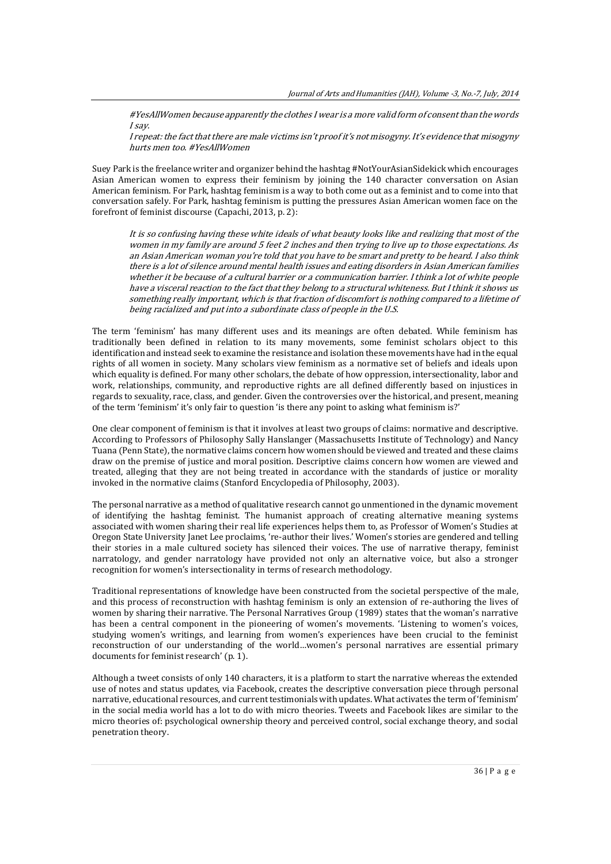#YesAllWomen because apparently the clothes I wear is a more valid form of consent than the words I say.

I repeat: the fact that there are male victims isn't proof it's not misogyny. It's evidence that misogyny hurts men too. #YesAllWomen

Suey Park is the freelance writer and organizer behind the hashtag #NotYourAsianSidekick which encourages Asian American women to express their feminism by joining the 140 character conversation on Asian American feminism. For Park, hashtag feminism is a way to both come out as a feminist and to come into that conversation safely. For Park, hashtag feminism is putting the pressures Asian American women face on the forefront of feminist discourse (Capachi, 2013, p. 2):

It is so confusing having these white ideals of what beauty looks like and realizing that most of the women in my family are around 5 feet 2 inches and then trying to live up to those expectations. As an Asian American woman you're told that you have to be smart and pretty to be heard. I also think there is a lot of silence around mental health issues and eating disorders in Asian American families whether it be because of a cultural barrier or a communication barrier. I think a lot of white people have a visceral reaction to the fact that they belong to a structural whiteness. But I think it shows us something really important, which is that fraction of discomfort is nothing compared to a lifetime of being racialized and put into a subordinate class of people in the U.S.

The term 'feminism' has many different uses and its meanings are often debated. While feminism has traditionally been defined in relation to its many movements, some feminist scholars object to this identification and instead seek to examine the resistance and isolation these movements have had in the equal rights of all women in society. Many scholars view feminism as a normative set of beliefs and ideals upon which equality is defined. For many other scholars, the debate of how oppression, intersectionality, labor and work, relationships, community, and reproductive rights are all defined differently based on injustices in regards to sexuality, race, class, and gender. Given the controversies over the historical, and present, meaning of the term 'feminism' it's only fair to question 'is there any point to asking what feminism is?'

One clear component of feminism is that it involves at least two groups of claims: normative and descriptive. According to Professors of Philosophy Sally Hanslanger (Massachusetts Institute of Technology) and Nancy Tuana (Penn State), the normative claims concern how women should be viewed and treated and these claims draw on the premise of justice and moral position. Descriptive claims concern how women are viewed and treated, alleging that they are not being treated in accordance with the standards of justice or morality invoked in the normative claims (Stanford Encyclopedia of Philosophy, 2003).

The personal narrative as a method of qualitative research cannot go unmentioned in the dynamic movement of identifying the hashtag feminist. The humanist approach of creating alternative meaning systems associated with women sharing their real life experiences helps them to, as Professor of Women's Studies at Oregon State University Janet Lee proclaims, 're-author their lives.' Women's stories are gendered and telling their stories in a male cultured society has silenced their voices. The use of narrative therapy, feminist narratology, and gender narratology have provided not only an alternative voice, but also a stronger recognition for women's intersectionality in terms of research methodology.

Traditional representations of knowledge have been constructed from the societal perspective of the male, and this process of reconstruction with hashtag feminism is only an extension of re-authoring the lives of women by sharing their narrative. The Personal Narratives Group (1989) states that the woman's narrative has been a central component in the pioneering of women's movements. 'Listening to women's voices, studying women's writings, and learning from women's experiences have been crucial to the feminist reconstruction of our understanding of the world…women's personal narratives are essential primary documents for feminist research' (p. 1).

Although a tweet consists of only 140 characters, it is a platform to start the narrative whereas the extended use of notes and status updates, via Facebook, creates the descriptive conversation piece through personal narrative, educational resources, and current testimonials with updates. What activates the term of 'feminism' in the social media world has a lot to do with micro theories. Tweets and Facebook likes are similar to the micro theories of: psychological ownership theory and perceived control, social exchange theory, and social penetration theory.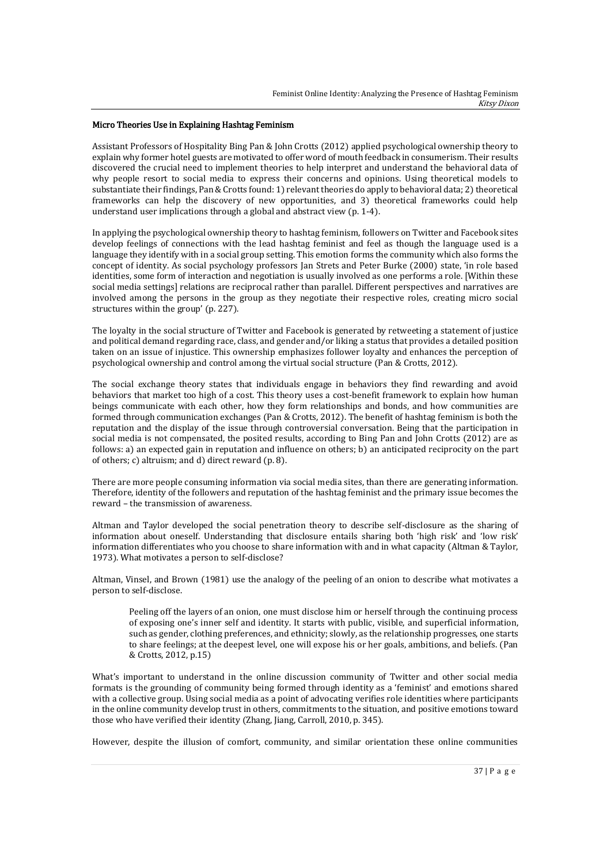## Micro Theories Use in Explaining Hashtag Feminism

Assistant Professors of Hospitality Bing Pan & John Crotts (2012) applied psychological ownership theory to explain why former hotel guests are motivated to offer word of mouth feedback in consumerism. Their results discovered the crucial need to implement theories to help interpret and understand the behavioral data of why people resort to social media to express their concerns and opinions. Using theoretical models to substantiate their findings, Pan & Crotts found: 1) relevant theories do apply to behavioral data; 2) theoretical frameworks can help the discovery of new opportunities, and 3) theoretical frameworks could help understand user implications through a global and abstract view (p. 1-4).

In applying the psychological ownership theory to hashtag feminism, followers on Twitter and Facebook sites develop feelings of connections with the lead hashtag feminist and feel as though the language used is a language they identify with in a social group setting. This emotion forms the community which also forms the concept of identity. As social psychology professors Jan Strets and Peter Burke (2000) state, 'in role based identities, some form of interaction and negotiation is usually involved as one performs a role. [Within these social media settings] relations are reciprocal rather than parallel. Different perspectives and narratives are involved among the persons in the group as they negotiate their respective roles, creating micro social structures within the group' (p. 227).

The loyalty in the social structure of Twitter and Facebook is generated by retweeting a statement of justice and political demand regarding race, class, and gender and/or liking a status that provides a detailed position taken on an issue of injustice. This ownership emphasizes follower loyalty and enhances the perception of psychological ownership and control among the virtual social structure (Pan & Crotts, 2012).

The social exchange theory states that individuals engage in behaviors they find rewarding and avoid behaviors that market too high of a cost. This theory uses a cost-benefit framework to explain how human beings communicate with each other, how they form relationships and bonds, and how communities are formed through communication exchanges (Pan & Crotts, 2012). The benefit of hashtag feminism is both the reputation and the display of the issue through controversial conversation. Being that the participation in social media is not compensated, the posited results, according to Bing Pan and John Crotts (2012) are as follows: a) an expected gain in reputation and influence on others; b) an anticipated reciprocity on the part of others; c) altruism; and d) direct reward (p. 8).

There are more people consuming information via social media sites, than there are generating information. Therefore, identity of the followers and reputation of the hashtag feminist and the primary issue becomes the reward – the transmission of awareness.

Altman and Taylor developed the social penetration theory to describe self-disclosure as the sharing of information about oneself. Understanding that disclosure entails sharing both 'high risk' and 'low risk' information differentiates who you choose to share information with and in what capacity (Altman & Taylor, 1973). What motivates a person to self-disclose?

Altman, Vinsel, and Brown (1981) use the analogy of the peeling of an onion to describe what motivates a person to self-disclose.

Peeling off the layers of an onion, one must disclose him or herself through the continuing process of exposing one's inner self and identity. It starts with public, visible, and superficial information, such as gender, clothing preferences, and ethnicity; slowly, as the relationship progresses, one starts to share feelings; at the deepest level, one will expose his or her goals, ambitions, and beliefs. (Pan & Crotts, 2012, p.15)

What's important to understand in the online discussion community of Twitter and other social media formats is the grounding of community being formed through identity as a 'feminist' and emotions shared with a collective group. Using social media as a point of advocating verifies role identities where participants in the online community develop trust in others, commitments to the situation, and positive emotions toward those who have verified their identity (Zhang, Jiang, Carroll, 2010, p. 345).

However, despite the illusion of comfort, community, and similar orientation these online communities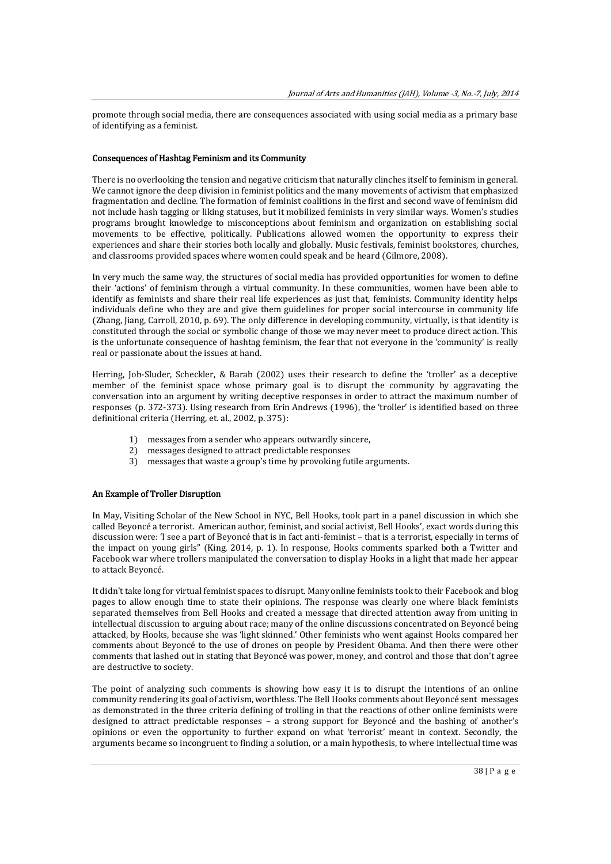promote through social media, there are consequences associated with using social media as a primary base of identifying as a feminist.

#### Consequences of Hashtag Feminism and its Community

There is no overlooking the tension and negative criticism that naturally clinches itself to feminism in general. We cannot ignore the deep division in feminist politics and the many movements of activism that emphasized fragmentation and decline. The formation of feminist coalitions in the first and second wave of feminism did not include hash tagging or liking statuses, but it mobilized feminists in very similar ways. Women's studies programs brought knowledge to misconceptions about feminism and organization on establishing social movements to be effective, politically. Publications allowed women the opportunity to express their experiences and share their stories both locally and globally. Music festivals, feminist bookstores, churches, and classrooms provided spaces where women could speak and be heard (Gilmore, 2008).

In very much the same way, the structures of social media has provided opportunities for women to define their 'actions' of feminism through a virtual community. In these communities, women have been able to identify as feminists and share their real life experiences as just that, feminists. Community identity helps individuals define who they are and give them guidelines for proper social intercourse in community life (Zhang, Jiang, Carroll, 2010, p. 69). The only difference in developing community, virtually, is that identity is constituted through the social or symbolic change of those we may never meet to produce direct action. This is the unfortunate consequence of hashtag feminism, the fear that not everyone in the 'community' is really real or passionate about the issues at hand.

Herring, Job-Sluder, Scheckler, & Barab (2002) uses their research to define the 'troller' as a deceptive member of the feminist space whose primary goal is to disrupt the community by aggravating the conversation into an argument by writing deceptive responses in order to attract the maximum number of responses (p. 372-373). Using research from Erin Andrews (1996), the 'troller' is identified based on three definitional criteria (Herring, et. al., 2002, p. 375):

- 1) messages from a sender who appears outwardly sincere,
- 2) messages designed to attract predictable responses
- 3) messages that waste a group's time by provoking futile arguments.

#### An Example of Troller Disruption

In May, Visiting Scholar of the New School in NYC, Bell Hooks, took part in a panel discussion in which she called Beyoncé a terrorist. American author, feminist, and social activist, Bell Hooks', exact words during this discussion were: 'I see a part of Beyoncé that is in fact anti-feminist – that is a terrorist, especially in terms of the impact on young girls" (King, 2014, p. 1). In response, Hooks comments sparked both a Twitter and Facebook war where trollers manipulated the conversation to display Hooks in a light that made her appear to attack Beyoncé.

It didn't take long for virtual feminist spaces to disrupt. Many online feminists took to their Facebook and blog pages to allow enough time to state their opinions. The response was clearly one where black feminists separated themselves from Bell Hooks and created a message that directed attention away from uniting in intellectual discussion to arguing about race; many of the online discussions concentrated on Beyoncé being attacked, by Hooks, because she was 'light skinned.' Other feminists who went against Hooks compared her comments about Beyoncé to the use of drones on people by President Obama. And then there were other comments that lashed out in stating that Beyoncé was power, money, and control and those that don't agree are destructive to society.

The point of analyzing such comments is showing how easy it is to disrupt the intentions of an online community rendering its goal of activism, worthless. The Bell Hooks comments about Beyoncé sent messages as demonstrated in the three criteria defining of trolling in that the reactions of other online feminists were designed to attract predictable responses – a strong support for Beyoncé and the bashing of another's opinions or even the opportunity to further expand on what 'terrorist' meant in context. Secondly, the arguments became so incongruent to finding a solution, or a main hypothesis, to where intellectual time was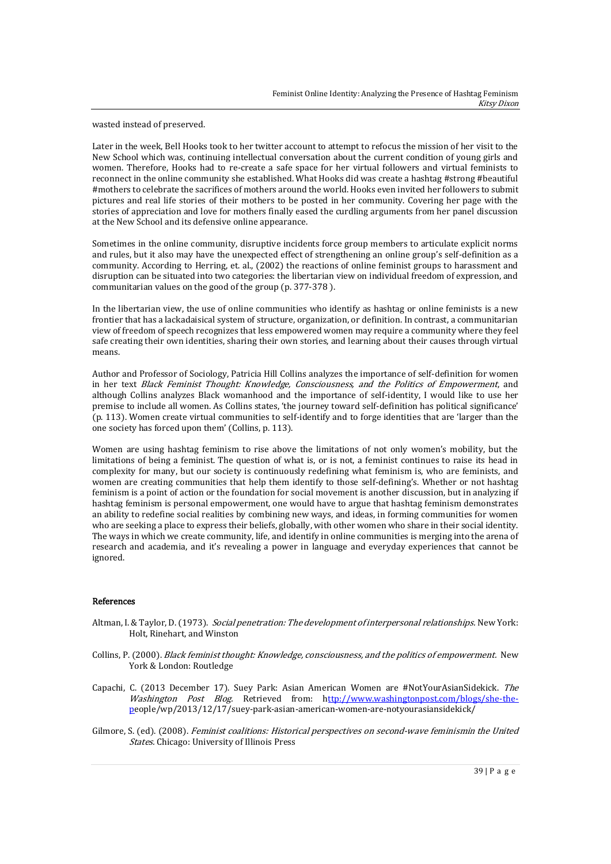wasted instead of preserved.

Later in the week, Bell Hooks took to her twitter account to attempt to refocus the mission of her visit to the New School which was, continuing intellectual conversation about the current condition of young girls and women. Therefore, Hooks had to re-create a safe space for her virtual followers and virtual feminists to reconnect in the online community she established. What Hooks did was create a hashtag #strong #beautiful #mothers to celebrate the sacrifices of mothers around the world. Hooks even invited her followers to submit pictures and real life stories of their mothers to be posted in her community. Covering her page with the stories of appreciation and love for mothers finally eased the curdling arguments from her panel discussion at the New School and its defensive online appearance.

Sometimes in the online community, disruptive incidents force group members to articulate explicit norms and rules, but it also may have the unexpected effect of strengthening an online group's self-definition as a community. According to Herring, et. al., (2002) the reactions of online feminist groups to harassment and disruption can be situated into two categories: the libertarian view on individual freedom of expression, and communitarian values on the good of the group (p. 377-378 ).

In the libertarian view, the use of online communities who identify as hashtag or online feminists is a new frontier that has a lackadaisical system of structure, organization, or definition. In contrast, a communitarian view of freedom of speech recognizes that less empowered women may require a community where they feel safe creating their own identities, sharing their own stories, and learning about their causes through virtual means.

Author and Professor of Sociology, Patricia Hill Collins analyzes the importance of self-definition for women in her text Black Feminist Thought: Knowledge, Consciousness, and the Politics of Empowerment, and although Collins analyzes Black womanhood and the importance of self-identity, I would like to use her premise to include all women. As Collins states, 'the journey toward self-definition has political significance' (p. 113). Women create virtual communities to self-identify and to forge identities that are 'larger than the one society has forced upon them' (Collins, p. 113).

Women are using hashtag feminism to rise above the limitations of not only women's mobility, but the limitations of being a feminist. The question of what is, or is not, a feminist continues to raise its head in complexity for many, but our society is continuously redefining what feminism is, who are feminists, and women are creating communities that help them identify to those self-defining's. Whether or not hashtag feminism is a point of action or the foundation for social movement is another discussion, but in analyzing if hashtag feminism is personal empowerment, one would have to argue that hashtag feminism demonstrates an ability to redefine social realities by combining new ways, and ideas, in forming communities for women who are seeking a place to express their beliefs, globally, with other women who share in their social identity. The ways in which we create community, life, and identify in online communities is merging into the arena of research and academia, and it's revealing a power in language and everyday experiences that cannot be ignored.

### References

- Altman, I. & Taylor, D. (1973). Social penetration: The development of interpersonal relationships. New York: Holt, Rinehart, and Winston
- Collins, P. (2000). Black feminist thought: Knowledge, consciousness, and the politics of empowerment. New York & London: Routledge
- Capachi, C. (2013 December 17). Suey Park: Asian American Women are #NotYourAsianSidekick. The Washington Post Blog. Retrieved from: [http://www.washingtonpost.com/blogs/she-the](ttp://www.washingtonpost.com/blogs/she-the-p)[pe](ttp://www.washingtonpost.com/blogs/she-the-p)ople/wp/2013/12/17/suey-park-asian-american-women-are-notyourasiansidekick/
- Gilmore, S. (ed). (2008). Feminist coalitions: Historical perspectives on second-wave feminismin the United States. Chicago: University of Illinois Press